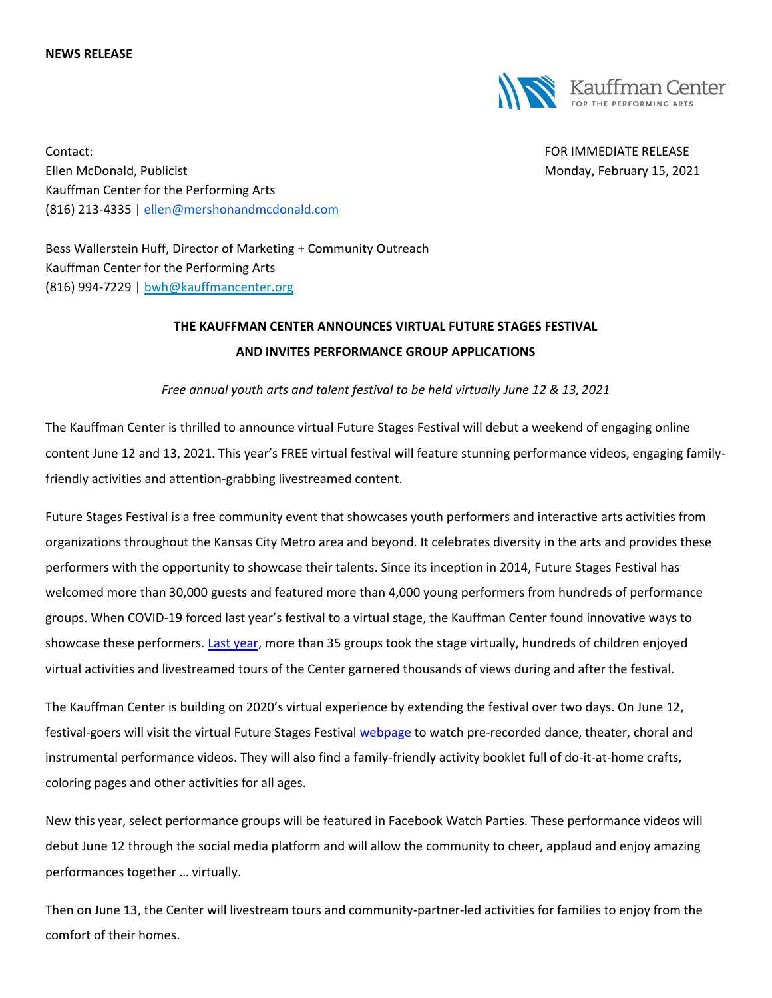#### **NEWS RELEASE**



Contact: FOR IMMEDIATE RELEASE Ellen McDonald, Publicist Monday, February 15, 2021 Kauffman Center for the Performing Arts (816) 213-4335 | [ellen@mershonandmcdonald.com](mailto:ellen@mershonandmcdonald.com)

Bess Wallerstein Huff, Director of Marketing + Community Outreach Kauffman Center for the Performing Arts (816) 994-7229 | [bwh@kauffmancenter.org](mailto:bwh@kauffmancenter.org)

## **THE KAUFFMAN CENTER ANNOUNCES VIRTUAL FUTURE STAGES FESTIVAL AND INVITES PERFORMANCE GROUP APPLICATIONS**

*Free annual youth arts and talent festival to be held virtually June 12 & 13, 2021*

The Kauffman Center is thrilled to announce virtual Future Stages Festival will debut a weekend of engaging online content June 12 and 13, 2021. This year's FREE virtual festival will feature stunning performance videos, engaging familyfriendly activities and attention-grabbing livestreamed content.

Future Stages Festival is a free community event that showcases youth performers and interactive arts activities from organizations throughout the Kansas City Metro area and beyond. It celebrates diversity in the arts and provides these performers with the opportunity to showcase their talents. Since its inception in 2014, Future Stages Festival has welcomed more than 30,000 guests and featured more than 4,000 young performers from hundreds of performance groups. When COVID-19 forced last year's festival to a virtual stage, the Kauffman Center found innovative ways to showcase these performers. [Last year,](https://www.kauffmancenter.org/news/annual-future-stages-festival-goes-virtual/) more than 35 groups took the stage virtually, hundreds of children enjoyed virtual activities and livestreamed tours of the Center garnered thousands of views during and after the festival.

The Kauffman Center is building on 2020's virtual experience by extending the festival over two days. On June 12, festival-goers will visit the virtual Future Stages Festival [webpage](https://www.kauffmancenter.org/open-doors/future-stages-festival/) to watch pre-recorded dance, theater, choral and instrumental performance videos. They will also find a family-friendly activity booklet full of do-it-at-home crafts, coloring pages and other activities for all ages.

New this year, select performance groups will be featured in Facebook Watch Parties. These performance videos will debut June 12 through the social media platform and will allow the community to cheer, applaud and enjoy amazing performances together … virtually.

Then on June 13, the Center will livestream tours and community-partner-led activities for families to enjoy from the comfort of their homes.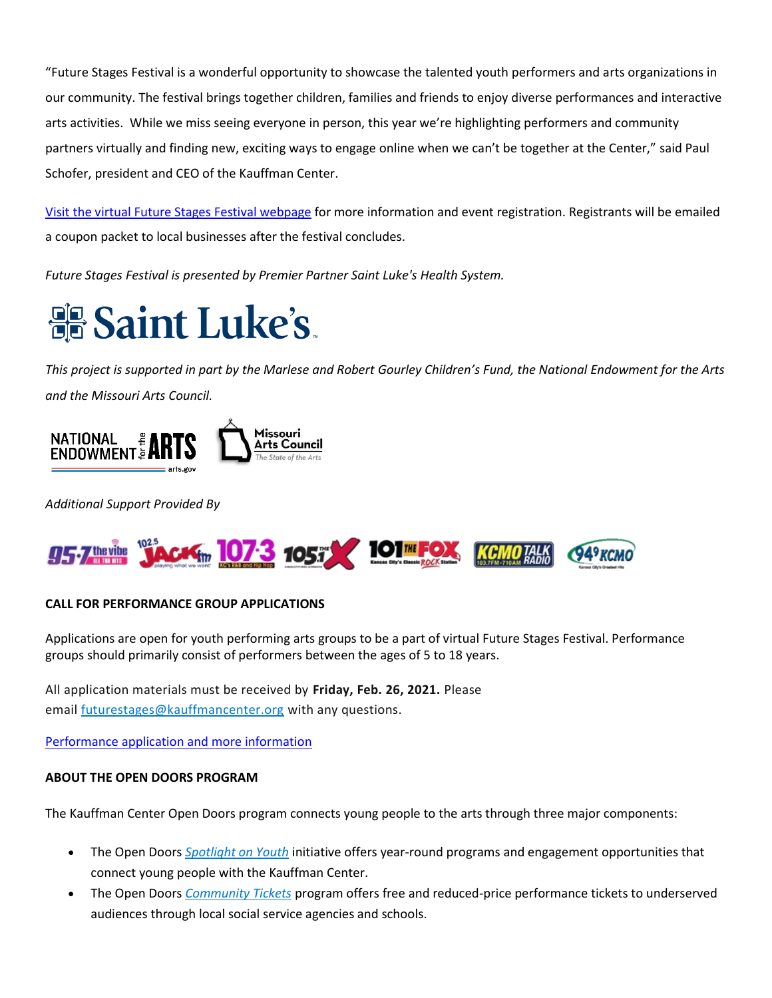"Future Stages Festival is a wonderful opportunity to showcase the talented youth performers and arts organizations in our community. The festival brings together children, families and friends to enjoy diverse performances and interactive arts activities. While we miss seeing everyone in person, this year we're highlighting performers and community partners virtually and finding new, exciting ways to engage online when we can't be together at the Center," said Paul Schofer, president and CEO of the Kauffman Center.

Visit [the virtual Future Stages Festival webpage](https://www.kauffmancenter.org/open-doors/future-stages-festival/) for more information and event registration. Registrants will be emailed a coupon packet to local businesses after the festival concludes.

*Future Stages Festival is presented by Premier Partner Saint Luke's Health System.*

# **Saint Luke's.**

*This project is supported in part by the Marlese and Robert Gourley Children's Fund, the National Endowment for the Arts and the Missouri Arts Council.*



*Additional Support Provided By*



### **CALL FOR PERFORMANCE GROUP APPLICATIONS**

Applications are open for youth performing arts groups to be a part of virtual Future Stages Festival. Performance groups should primarily consist of performers between the ages of 5 to 18 years.

All application materials must be received by **Friday, Feb. 26, 2021.** Please email [futurestages@kauffmancenter.org](mailto:futurestages@kauffmancenter.org) with any questions.

[Performance application and more information](https://www.kauffmancenter.org/virtual-future-stages-festival-performance-application/)

#### **ABOUT THE OPEN DOORS PROGRAM**

The Kauffman Center Open Doors program connects young people to the arts through three major components:

- The Open Doors *[Spotlight on Youth](http://email.wordfly.com/click?sid=MTc4XzEyNjYxXzEzMTExXzY5NjQ&l=e5356c53-0996-ea11-bd94-e61f134a8c87&utm_source=wordfly&utm_medium=email&utm_campaign=Release%3AFSFVirtualFutureStagesFestival&utm_content=version_A&sourceNumber=)* initiative offers year-round programs and engagement opportunities that connect young people with the Kauffman Center.
- The Open Doors *[Community Tickets](http://email.wordfly.com/click?sid=MTc4XzEyNjYxXzEzMTExXzY5NjQ&l=e6356c53-0996-ea11-bd94-e61f134a8c87&utm_source=wordfly&utm_medium=email&utm_campaign=Release%3AFSFVirtualFutureStagesFestival&utm_content=version_A&sourceNumber=)* program offers free and reduced-price performance tickets to underserved audiences through local social service agencies and schools.